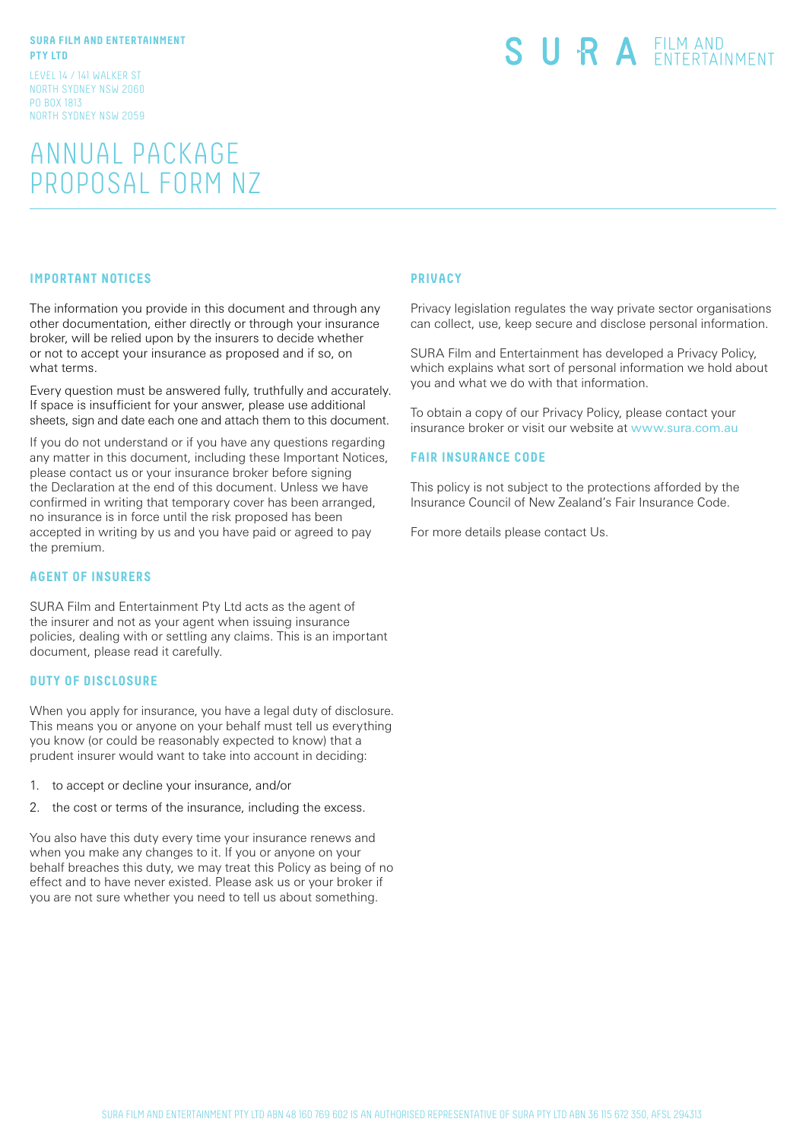#### **SURA FILM AND ENTERTAINMENT PTY LTD**

LEVEL 14 / 141 WALKER ST NORTH SYDNEY NSW 2060 PO BOX 1813 NORTH SYDNEY NSW 2059

## ANNUAL PACKAGE PROPOSAL FORM NZ

# SURA EILM AND

#### **IMPORTANT NOTICES**

The information you provide in this document and through any other documentation, either directly or through your insurance broker, will be relied upon by the insurers to decide whether or not to accept your insurance as proposed and if so, on what terms.

Every question must be answered fully, truthfully and accurately. If space is insufficient for your answer, please use additional sheets, sign and date each one and attach them to this document.

If you do not understand or if you have any questions regarding any matter in this document, including these Important Notices, please contact us or your insurance broker before signing the Declaration at the end of this document. Unless we have confirmed in writing that temporary cover has been arranged, no insurance is in force until the risk proposed has been accepted in writing by us and you have paid or agreed to pay the premium.

#### **AGENT OF INSURERS**

SURA Film and Entertainment Pty Ltd acts as the agent of the insurer and not as your agent when issuing insurance policies, dealing with or settling any claims. This is an important document, please read it carefully.

#### **DUTY OF DISCLOSURE**

When you apply for insurance, you have a legal duty of disclosure. This means you or anyone on your behalf must tell us everything you know (or could be reasonably expected to know) that a prudent insurer would want to take into account in deciding:

- 1. to accept or decline your insurance, and/or
- 2. the cost or terms of the insurance, including the excess.

You also have this duty every time your insurance renews and when you make any changes to it. If you or anyone on your behalf breaches this duty, we may treat this Policy as being of no effect and to have never existed. Please ask us or your broker if you are not sure whether you need to tell us about something.

#### **PRIVACY**

Privacy legislation regulates the way private sector organisations can collect, use, keep secure and disclose personal information.

SURA Film and Entertainment has developed a Privacy Policy, which explains what sort of personal information we hold about you and what we do with that information.

To obtain a copy of our Privacy Policy, please contact your insurance broker or visit our website at www.sura.com.au

#### **FAIR INSURANCE CODE**

This policy is not subject to the protections afforded by the Insurance Council of New Zealand's Fair Insurance Code.

For more details please contact Us.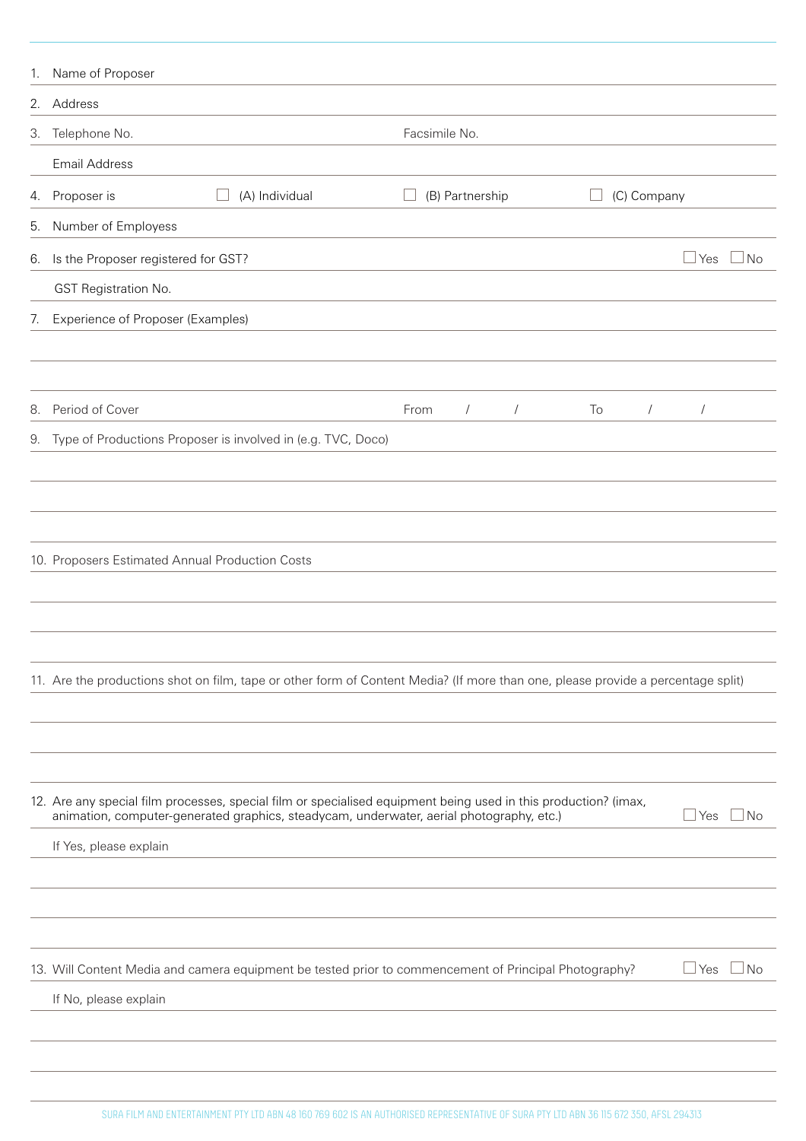|    | 1. Name of Proposer                             |                                                              |                                                                                                                                  |                  |                  |
|----|-------------------------------------------------|--------------------------------------------------------------|----------------------------------------------------------------------------------------------------------------------------------|------------------|------------------|
|    | 2. Address                                      |                                                              |                                                                                                                                  |                  |                  |
| 3. | Telephone No.                                   |                                                              | Facsimile No.                                                                                                                    |                  |                  |
|    | Email Address                                   |                                                              |                                                                                                                                  |                  |                  |
| 4. | Proposer is                                     | (A) Individual                                               | (B) Partnership                                                                                                                  | (C) Company      |                  |
| 5. | Number of Employess                             |                                                              |                                                                                                                                  |                  |                  |
| 6. | Is the Proposer registered for GST?             |                                                              |                                                                                                                                  |                  | l No<br>Yes      |
|    | GST Registration No.                            |                                                              |                                                                                                                                  |                  |                  |
| 7. | Experience of Proposer (Examples)               |                                                              |                                                                                                                                  |                  |                  |
|    |                                                 |                                                              |                                                                                                                                  |                  |                  |
|    |                                                 |                                                              |                                                                                                                                  |                  |                  |
| 8. | Period of Cover                                 |                                                              | From<br>$\sqrt{2}$<br>$\sqrt{2}$                                                                                                 | To<br>$\sqrt{2}$ | $\sqrt{2}$       |
| 9. |                                                 | Type of Productions Proposer is involved in (e.g. TVC, Doco) |                                                                                                                                  |                  |                  |
|    |                                                 |                                                              |                                                                                                                                  |                  |                  |
|    |                                                 |                                                              |                                                                                                                                  |                  |                  |
|    |                                                 |                                                              |                                                                                                                                  |                  |                  |
|    | 10. Proposers Estimated Annual Production Costs |                                                              |                                                                                                                                  |                  |                  |
|    |                                                 |                                                              |                                                                                                                                  |                  |                  |
|    |                                                 |                                                              |                                                                                                                                  |                  |                  |
|    |                                                 |                                                              |                                                                                                                                  |                  |                  |
|    |                                                 |                                                              | 11. Are the productions shot on film, tape or other form of Content Media? (If more than one, please provide a percentage split) |                  |                  |
|    |                                                 |                                                              |                                                                                                                                  |                  |                  |
|    |                                                 |                                                              |                                                                                                                                  |                  |                  |
|    |                                                 |                                                              | 12. Are any special film processes, special film or specialised equipment being used in this production? (imax,                  |                  |                  |
|    |                                                 |                                                              | animation, computer-generated graphics, steadycam, underwater, aerial photography, etc.)                                         |                  | ⊥No<br>  Yes     |
|    | If Yes, please explain                          |                                                              |                                                                                                                                  |                  |                  |
|    |                                                 |                                                              |                                                                                                                                  |                  |                  |
|    |                                                 |                                                              |                                                                                                                                  |                  |                  |
|    |                                                 |                                                              |                                                                                                                                  |                  |                  |
|    |                                                 |                                                              | 13. Will Content Media and camera equipment be tested prior to commencement of Principal Photography?                            |                  | Yes<br>$\Box$ No |
|    | If No, please explain                           |                                                              |                                                                                                                                  |                  |                  |
|    |                                                 |                                                              |                                                                                                                                  |                  |                  |
|    |                                                 |                                                              |                                                                                                                                  |                  |                  |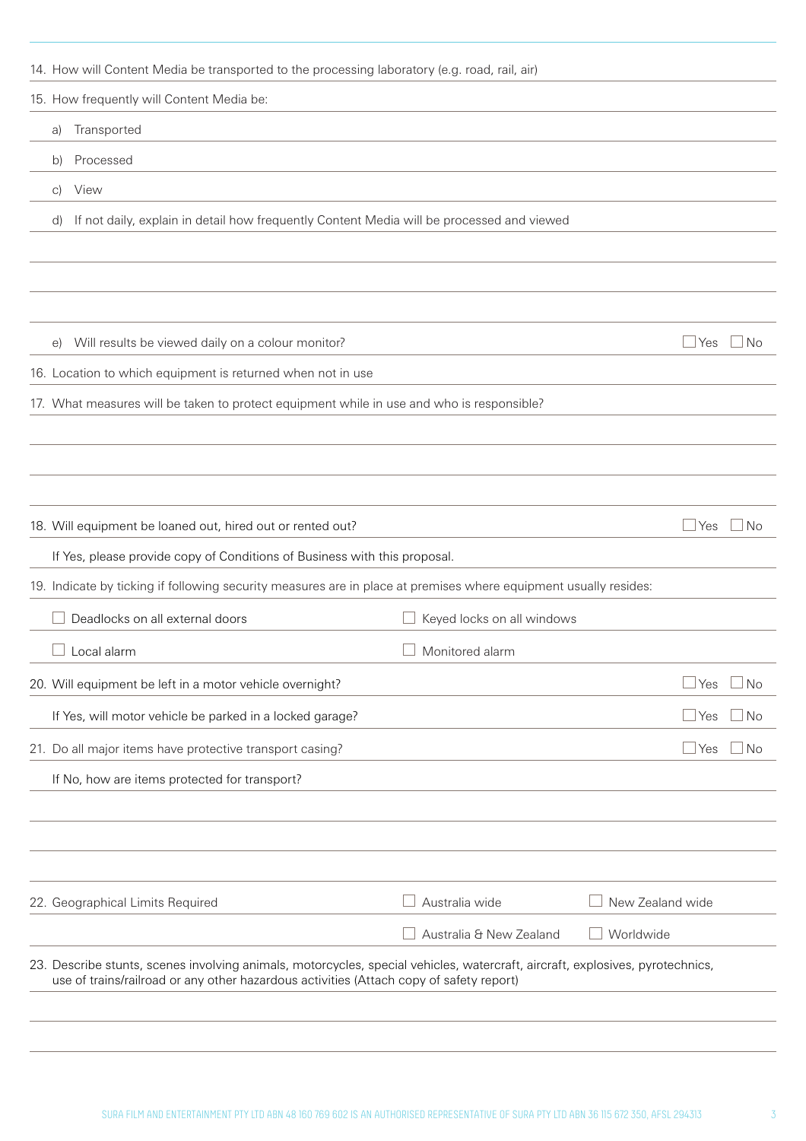| 14. How will Content Media be transported to the processing laboratory (e.g. road, rail, air)                                 |                            |                           |
|-------------------------------------------------------------------------------------------------------------------------------|----------------------------|---------------------------|
| 15. How frequently will Content Media be:                                                                                     |                            |                           |
| Transported<br>a)                                                                                                             |                            |                           |
| Processed<br>b)                                                                                                               |                            |                           |
| View<br>C)                                                                                                                    |                            |                           |
| If not daily, explain in detail how frequently Content Media will be processed and viewed<br>d)                               |                            |                           |
|                                                                                                                               |                            |                           |
|                                                                                                                               |                            |                           |
|                                                                                                                               |                            |                           |
| Will results be viewed daily on a colour monitor?<br>$\Theta$                                                                 |                            | $\Box$ Yes<br>l No        |
| 16. Location to which equipment is returned when not in use                                                                   |                            |                           |
| 17. What measures will be taken to protect equipment while in use and who is responsible?                                     |                            |                           |
|                                                                                                                               |                            |                           |
|                                                                                                                               |                            |                           |
|                                                                                                                               |                            |                           |
| 18. Will equipment be loaned out, hired out or rented out?                                                                    |                            | $\Box$ Yes<br>$\Box$ No   |
| If Yes, please provide copy of Conditions of Business with this proposal.                                                     |                            |                           |
| 19. Indicate by ticking if following security measures are in place at premises where equipment usually resides:              |                            |                           |
| Deadlocks on all external doors                                                                                               | Keyed locks on all windows |                           |
| $\Box$ Local alarm                                                                                                            | $\Box$ Monitored alarm     |                           |
| 20. Will equipment be left in a motor vehicle overnight?                                                                      |                            | $\sqcup$ Yes<br><b>No</b> |
| If Yes, will motor vehicle be parked in a locked garage?                                                                      |                            | $\Box$ Yes<br><b>No</b>   |
| 21. Do all major items have protective transport casing?                                                                      |                            | $\Box$ Yes<br><b>No</b>   |
| If No, how are items protected for transport?                                                                                 |                            |                           |
|                                                                                                                               |                            |                           |
|                                                                                                                               |                            |                           |
|                                                                                                                               |                            |                           |
| 22. Geographical Limits Required                                                                                              | Australia wide             | New Zealand wide          |
|                                                                                                                               | Australia & New Zealand    | Worldwide                 |
| 23. Describe stunts, scenes involving animals, motorcycles, special vehicles, watercraft, aircraft, explosives, pyrotechnics, |                            |                           |
| use of trains/railroad or any other hazardous activities (Attach copy of safety report)                                       |                            |                           |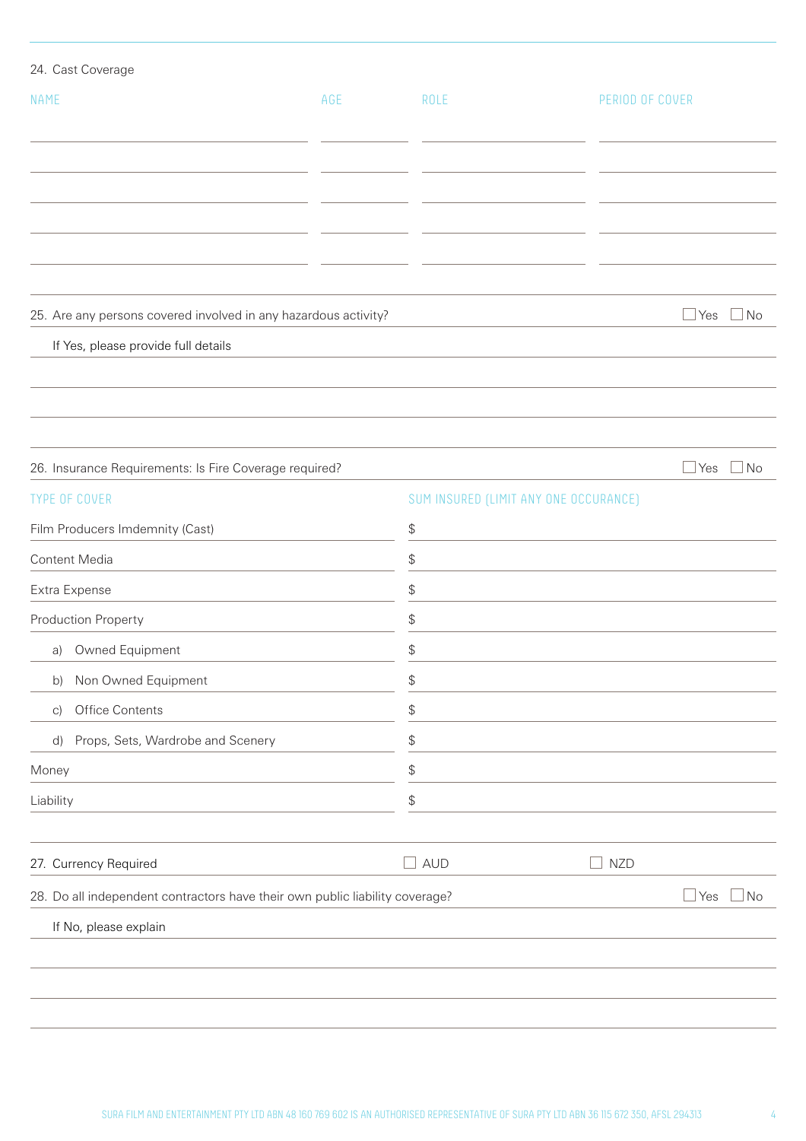| 24. Cast Coverage                                                            |     |                                                 |                                       |                         |  |
|------------------------------------------------------------------------------|-----|-------------------------------------------------|---------------------------------------|-------------------------|--|
| <b>NAME</b>                                                                  | AGE | ROLE                                            |                                       | PERIOD OF COVER         |  |
|                                                                              |     |                                                 |                                       |                         |  |
|                                                                              |     |                                                 |                                       |                         |  |
|                                                                              |     |                                                 |                                       |                         |  |
|                                                                              |     |                                                 |                                       |                         |  |
|                                                                              |     |                                                 |                                       |                         |  |
|                                                                              |     |                                                 |                                       |                         |  |
| 25. Are any persons covered involved in any hazardous activity?              |     |                                                 |                                       | $\Box$ No<br>∐ Yes      |  |
| If Yes, please provide full details                                          |     |                                                 |                                       |                         |  |
|                                                                              |     |                                                 |                                       |                         |  |
|                                                                              |     |                                                 |                                       |                         |  |
|                                                                              |     |                                                 |                                       |                         |  |
| 26. Insurance Requirements: Is Fire Coverage required?                       |     |                                                 |                                       | $\Box$ No<br>$\Box$ Yes |  |
| <b>TYPE OF COVER</b>                                                         |     |                                                 | SUM INSURED (LIMIT ANY ONE OCCURANCE) |                         |  |
| Film Producers Imdemnity (Cast)                                              |     | \$                                              |                                       |                         |  |
| Content Media                                                                |     | $\, \, \raisebox{12pt}{$\scriptstyle \circ$}$   |                                       |                         |  |
| Extra Expense                                                                |     | \$                                              |                                       |                         |  |
| Production Property                                                          |     | \$                                              |                                       |                         |  |
| Owned Equipment<br>a)<br>Non Owned Equipment<br>b)                           |     | \$<br>$\, \, \raisebox{12pt}{$\scriptstyle \$}$ |                                       |                         |  |
|                                                                              |     |                                                 |                                       |                         |  |
| Props, Sets, Wardrobe and Scenery<br>d)                                      |     | \$                                              |                                       |                         |  |
| Money                                                                        |     | \$                                              |                                       |                         |  |
| Liability                                                                    |     | \$                                              |                                       |                         |  |
|                                                                              |     |                                                 |                                       |                         |  |
| 27. Currency Required                                                        |     | <b>AUD</b><br>$\overline{\phantom{0}}$          | $\Box$ NZD                            |                         |  |
| 28. Do all independent contractors have their own public liability coverage? |     |                                                 |                                       | $\Box$ Yes<br>$\Box$ No |  |
| If No, please explain                                                        |     |                                                 |                                       |                         |  |
|                                                                              |     |                                                 |                                       |                         |  |
|                                                                              |     |                                                 |                                       |                         |  |
|                                                                              |     |                                                 |                                       |                         |  |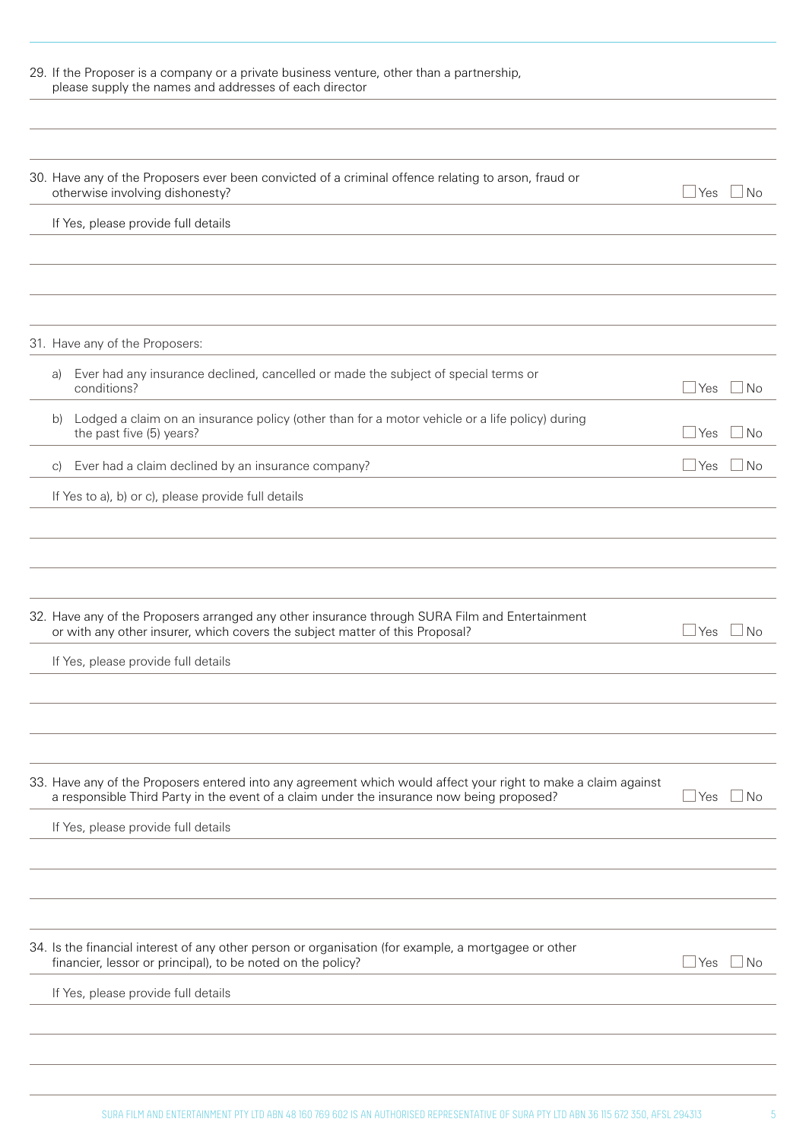| 29. If the Proposer is a company or a private business venture, other than a partnership,<br>please supply the names and addresses of each director                                                                   |              |           |
|-----------------------------------------------------------------------------------------------------------------------------------------------------------------------------------------------------------------------|--------------|-----------|
| 30. Have any of the Proposers ever been convicted of a criminal offence relating to arson, fraud or<br>otherwise involving dishonesty?                                                                                | l Yes        | l No      |
| If Yes, please provide full details                                                                                                                                                                                   |              |           |
|                                                                                                                                                                                                                       |              |           |
| 31. Have any of the Proposers:                                                                                                                                                                                        |              |           |
| Ever had any insurance declined, cancelled or made the subject of special terms or<br>a)<br>conditions?                                                                                                               | Yes          | l No      |
| Lodged a claim on an insurance policy (other than for a motor vehicle or a life policy) during<br>b)<br>the past five (5) years?                                                                                      | ⊥Yes         | ⊥No       |
| Ever had a claim declined by an insurance company?<br>$\mathcal{C}$                                                                                                                                                   | ⊿ Yes        | – I No    |
| If Yes to a), b) or c), please provide full details                                                                                                                                                                   |              |           |
| 32. Have any of the Proposers arranged any other insurance through SURA Film and Entertainment<br>or with any other insurer, which covers the subject matter of this Proposal?<br>If Yes, please provide full details | Yes          | No.       |
|                                                                                                                                                                                                                       |              |           |
| 33. Have any of the Proposers entered into any agreement which would affect your right to make a claim against<br>a responsible Third Party in the event of a claim under the insurance now being proposed?           | Yes          | $\Box$ No |
| If Yes, please provide full details                                                                                                                                                                                   |              |           |
|                                                                                                                                                                                                                       |              |           |
| 34. Is the financial interest of any other person or organisation (for example, a mortgagee or other<br>financier, lessor or principal), to be noted on the policy?                                                   | $\sqcup$ Yes | ⊥No       |
| If Yes, please provide full details                                                                                                                                                                                   |              |           |
|                                                                                                                                                                                                                       |              |           |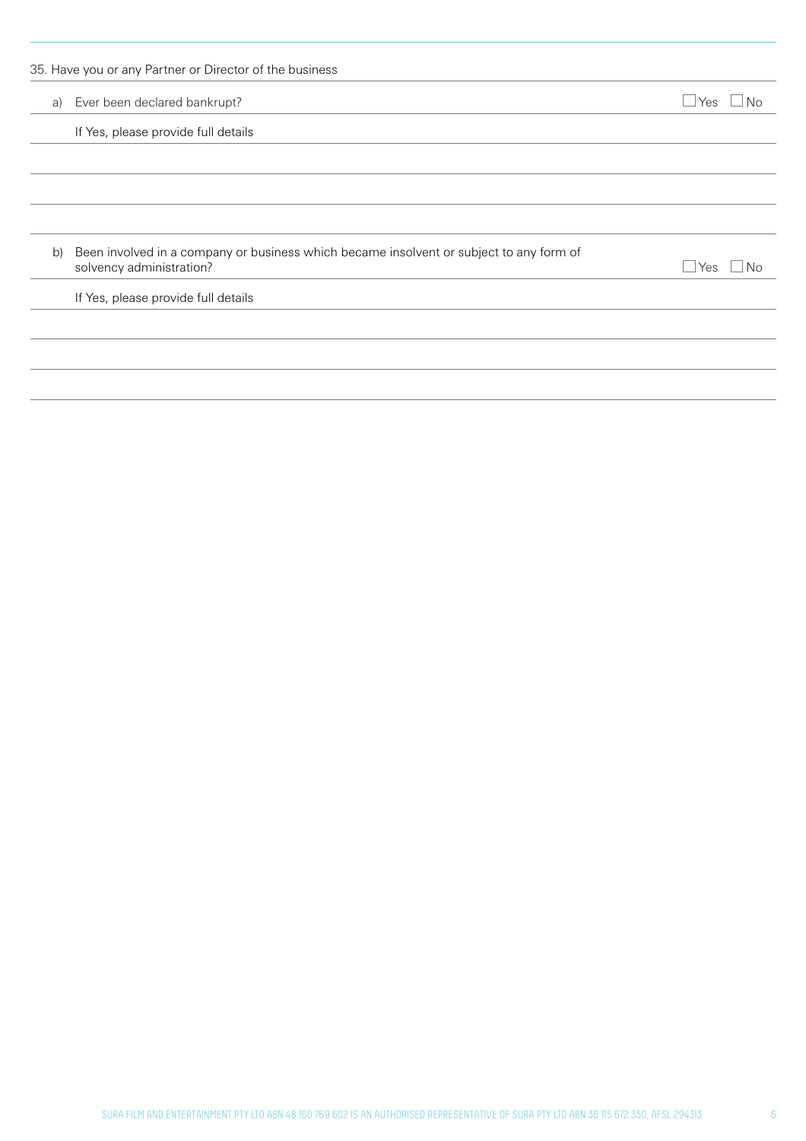| a) | Ever been declared bankrupt?                                                                                        | Yes<br>N <sub>0</sub> |
|----|---------------------------------------------------------------------------------------------------------------------|-----------------------|
|    | If Yes, please provide full details                                                                                 |                       |
|    |                                                                                                                     |                       |
| b) | Been involved in a company or business which became insolvent or subject to any form of<br>solvency administration? | Yes<br>Nο             |
|    | If Yes, please provide full details                                                                                 |                       |
|    |                                                                                                                     |                       |